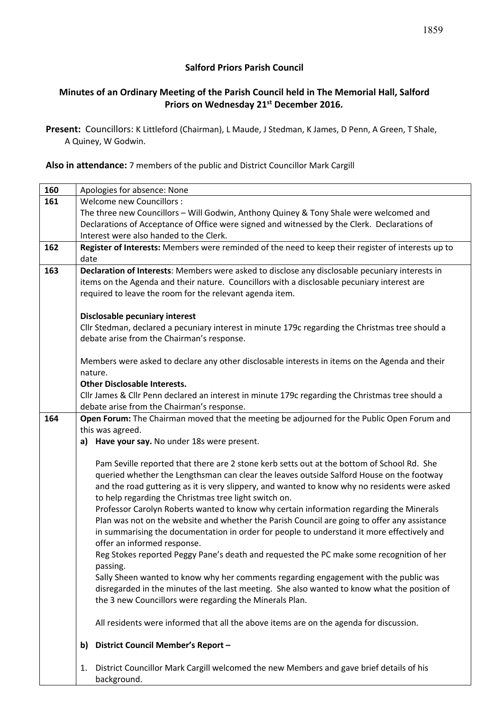# **Salford Priors Parish Council**

# **Minutes of an Ordinary Meeting of the Parish Council held in The Memorial Hall, Salford Priors on Wednesday 21st December 2016.**

**Present:** Councillors: K Littleford (Chairman), L Maude, J Stedman, K James, D Penn, A Green, T Shale, A Quiney, W Godwin.

### **Also in attendance:** 7 members of the public and District Councillor Mark Cargill

| 160 | Apologies for absence: None                                                                                  |  |  |  |  |  |
|-----|--------------------------------------------------------------------------------------------------------------|--|--|--|--|--|
| 161 | Welcome new Councillors :                                                                                    |  |  |  |  |  |
|     | The three new Councillors - Will Godwin, Anthony Quiney & Tony Shale were welcomed and                       |  |  |  |  |  |
|     | Declarations of Acceptance of Office were signed and witnessed by the Clerk. Declarations of                 |  |  |  |  |  |
|     | Interest were also handed to the Clerk.                                                                      |  |  |  |  |  |
| 162 | Register of Interests: Members were reminded of the need to keep their register of interests up to           |  |  |  |  |  |
|     | date                                                                                                         |  |  |  |  |  |
| 163 | Declaration of Interests: Members were asked to disclose any disclosable pecuniary interests in              |  |  |  |  |  |
|     | items on the Agenda and their nature. Councillors with a disclosable pecuniary interest are                  |  |  |  |  |  |
|     | required to leave the room for the relevant agenda item.                                                     |  |  |  |  |  |
|     |                                                                                                              |  |  |  |  |  |
|     | <b>Disclosable pecuniary interest</b>                                                                        |  |  |  |  |  |
|     | Cllr Stedman, declared a pecuniary interest in minute 179c regarding the Christmas tree should a             |  |  |  |  |  |
|     | debate arise from the Chairman's response.                                                                   |  |  |  |  |  |
|     |                                                                                                              |  |  |  |  |  |
|     | Members were asked to declare any other disclosable interests in items on the Agenda and their               |  |  |  |  |  |
|     | nature.                                                                                                      |  |  |  |  |  |
|     | <b>Other Disclosable Interests.</b>                                                                          |  |  |  |  |  |
|     | Cllr James & Cllr Penn declared an interest in minute 179c regarding the Christmas tree should a             |  |  |  |  |  |
|     | debate arise from the Chairman's response.                                                                   |  |  |  |  |  |
| 164 | Open Forum: The Chairman moved that the meeting be adjourned for the Public Open Forum and                   |  |  |  |  |  |
|     | this was agreed.                                                                                             |  |  |  |  |  |
|     | a) Have your say. No under 18s were present.                                                                 |  |  |  |  |  |
|     |                                                                                                              |  |  |  |  |  |
|     | Pam Seville reported that there are 2 stone kerb setts out at the bottom of School Rd. She                   |  |  |  |  |  |
|     | queried whether the Lengthsman can clear the leaves outside Salford House on the footway                     |  |  |  |  |  |
|     | and the road guttering as it is very slippery, and wanted to know why no residents were asked                |  |  |  |  |  |
|     | to help regarding the Christmas tree light switch on.                                                        |  |  |  |  |  |
|     | Professor Carolyn Roberts wanted to know why certain information regarding the Minerals                      |  |  |  |  |  |
|     | Plan was not on the website and whether the Parish Council are going to offer any assistance                 |  |  |  |  |  |
|     | in summarising the documentation in order for people to understand it more effectively and                   |  |  |  |  |  |
|     | offer an informed response.                                                                                  |  |  |  |  |  |
|     | Reg Stokes reported Peggy Pane's death and requested the PC make some recognition of her                     |  |  |  |  |  |
|     | passing.                                                                                                     |  |  |  |  |  |
|     | Sally Sheen wanted to know why her comments regarding engagement with the public was                         |  |  |  |  |  |
|     | disregarded in the minutes of the last meeting. She also wanted to know what the position of                 |  |  |  |  |  |
|     | the 3 new Councillors were regarding the Minerals Plan.                                                      |  |  |  |  |  |
|     | All residents were informed that all the above items are on the agenda for discussion.                       |  |  |  |  |  |
|     | District Council Member's Report -<br>b)                                                                     |  |  |  |  |  |
|     |                                                                                                              |  |  |  |  |  |
|     | District Councillor Mark Cargill welcomed the new Members and gave brief details of his<br>1.<br>background. |  |  |  |  |  |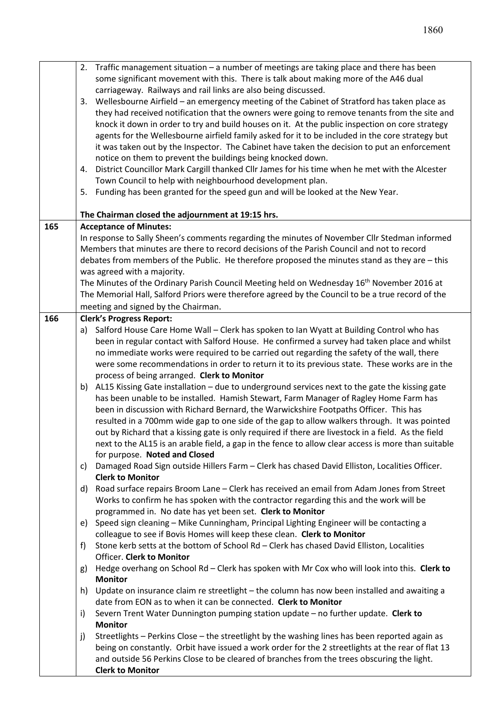|     | 3. | 2. Traffic management situation - a number of meetings are taking place and there has been<br>some significant movement with this. There is talk about making more of the A46 dual<br>carriageway. Railways and rail links are also being discussed.<br>Wellesbourne Airfield - an emergency meeting of the Cabinet of Stratford has taken place as |  |  |  |  |
|-----|----|-----------------------------------------------------------------------------------------------------------------------------------------------------------------------------------------------------------------------------------------------------------------------------------------------------------------------------------------------------|--|--|--|--|
|     |    | they had received notification that the owners were going to remove tenants from the site and<br>knock it down in order to try and build houses on it. At the public inspection on core strategy<br>agents for the Wellesbourne airfield family asked for it to be included in the core strategy but                                                |  |  |  |  |
|     |    | it was taken out by the Inspector. The Cabinet have taken the decision to put an enforcement                                                                                                                                                                                                                                                        |  |  |  |  |
|     |    | notice on them to prevent the buildings being knocked down.                                                                                                                                                                                                                                                                                         |  |  |  |  |
|     | 4. | District Councillor Mark Cargill thanked Cllr James for his time when he met with the Alcester                                                                                                                                                                                                                                                      |  |  |  |  |
|     |    | Town Council to help with neighbourhood development plan.                                                                                                                                                                                                                                                                                           |  |  |  |  |
|     | 5. | Funding has been granted for the speed gun and will be looked at the New Year.                                                                                                                                                                                                                                                                      |  |  |  |  |
|     |    | The Chairman closed the adjournment at 19:15 hrs.                                                                                                                                                                                                                                                                                                   |  |  |  |  |
| 165 |    | <b>Acceptance of Minutes:</b>                                                                                                                                                                                                                                                                                                                       |  |  |  |  |
|     |    | In response to Sally Sheen's comments regarding the minutes of November Cllr Stedman informed<br>Members that minutes are there to record decisions of the Parish Council and not to record                                                                                                                                                         |  |  |  |  |
|     |    | debates from members of the Public. He therefore proposed the minutes stand as they are - this                                                                                                                                                                                                                                                      |  |  |  |  |
|     |    | was agreed with a majority.                                                                                                                                                                                                                                                                                                                         |  |  |  |  |
|     |    | The Minutes of the Ordinary Parish Council Meeting held on Wednesday 16 <sup>th</sup> November 2016 at                                                                                                                                                                                                                                              |  |  |  |  |
|     |    | The Memorial Hall, Salford Priors were therefore agreed by the Council to be a true record of the                                                                                                                                                                                                                                                   |  |  |  |  |
|     |    | meeting and signed by the Chairman.                                                                                                                                                                                                                                                                                                                 |  |  |  |  |
| 166 |    | <b>Clerk's Progress Report:</b>                                                                                                                                                                                                                                                                                                                     |  |  |  |  |
|     | a) | Salford House Care Home Wall - Clerk has spoken to Ian Wyatt at Building Control who has                                                                                                                                                                                                                                                            |  |  |  |  |
|     |    | been in regular contact with Salford House. He confirmed a survey had taken place and whilst                                                                                                                                                                                                                                                        |  |  |  |  |
|     |    | no immediate works were required to be carried out regarding the safety of the wall, there<br>were some recommendations in order to return it to its previous state. These works are in the                                                                                                                                                         |  |  |  |  |
|     |    | process of being arranged. Clerk to Monitor                                                                                                                                                                                                                                                                                                         |  |  |  |  |
|     |    | b) AL15 Kissing Gate installation - due to underground services next to the gate the kissing gate                                                                                                                                                                                                                                                   |  |  |  |  |
|     |    | has been unable to be installed. Hamish Stewart, Farm Manager of Ragley Home Farm has                                                                                                                                                                                                                                                               |  |  |  |  |
|     |    | been in discussion with Richard Bernard, the Warwickshire Footpaths Officer. This has                                                                                                                                                                                                                                                               |  |  |  |  |
|     |    | resulted in a 700mm wide gap to one side of the gap to allow walkers through. It was pointed                                                                                                                                                                                                                                                        |  |  |  |  |
|     |    | out by Richard that a kissing gate is only required if there are livestock in a field. As the field                                                                                                                                                                                                                                                 |  |  |  |  |
|     |    | next to the AL15 is an arable field, a gap in the fence to allow clear access is more than suitable                                                                                                                                                                                                                                                 |  |  |  |  |
|     |    | for purpose. Noted and Closed<br>Damaged Road Sign outside Hillers Farm - Clerk has chased David Elliston, Localities Officer.                                                                                                                                                                                                                      |  |  |  |  |
|     | C) | <b>Clerk to Monitor</b>                                                                                                                                                                                                                                                                                                                             |  |  |  |  |
|     | d) | Road surface repairs Broom Lane - Clerk has received an email from Adam Jones from Street                                                                                                                                                                                                                                                           |  |  |  |  |
|     |    | Works to confirm he has spoken with the contractor regarding this and the work will be                                                                                                                                                                                                                                                              |  |  |  |  |
|     |    | programmed in. No date has yet been set. Clerk to Monitor                                                                                                                                                                                                                                                                                           |  |  |  |  |
|     | e) | Speed sign cleaning - Mike Cunningham, Principal Lighting Engineer will be contacting a                                                                                                                                                                                                                                                             |  |  |  |  |
|     |    | colleague to see if Bovis Homes will keep these clean. Clerk to Monitor                                                                                                                                                                                                                                                                             |  |  |  |  |
|     | f) | Stone kerb setts at the bottom of School Rd - Clerk has chased David Elliston, Localities<br>Officer. Clerk to Monitor                                                                                                                                                                                                                              |  |  |  |  |
|     | g) | Hedge overhang on School Rd - Clerk has spoken with Mr Cox who will look into this. Clerk to                                                                                                                                                                                                                                                        |  |  |  |  |
|     |    | <b>Monitor</b>                                                                                                                                                                                                                                                                                                                                      |  |  |  |  |
|     | h) | Update on insurance claim re streetlight - the column has now been installed and awaiting a                                                                                                                                                                                                                                                         |  |  |  |  |
|     |    | date from EON as to when it can be connected. Clerk to Monitor                                                                                                                                                                                                                                                                                      |  |  |  |  |
|     | i) | Severn Trent Water Dunnington pumping station update - no further update. Clerk to                                                                                                                                                                                                                                                                  |  |  |  |  |
|     |    | <b>Monitor</b>                                                                                                                                                                                                                                                                                                                                      |  |  |  |  |
|     | j) | Streetlights - Perkins Close - the streetlight by the washing lines has been reported again as                                                                                                                                                                                                                                                      |  |  |  |  |
|     |    | being on constantly. Orbit have issued a work order for the 2 streetlights at the rear of flat 13                                                                                                                                                                                                                                                   |  |  |  |  |
|     |    | and outside 56 Perkins Close to be cleared of branches from the trees obscuring the light.<br><b>Clerk to Monitor</b>                                                                                                                                                                                                                               |  |  |  |  |
|     |    |                                                                                                                                                                                                                                                                                                                                                     |  |  |  |  |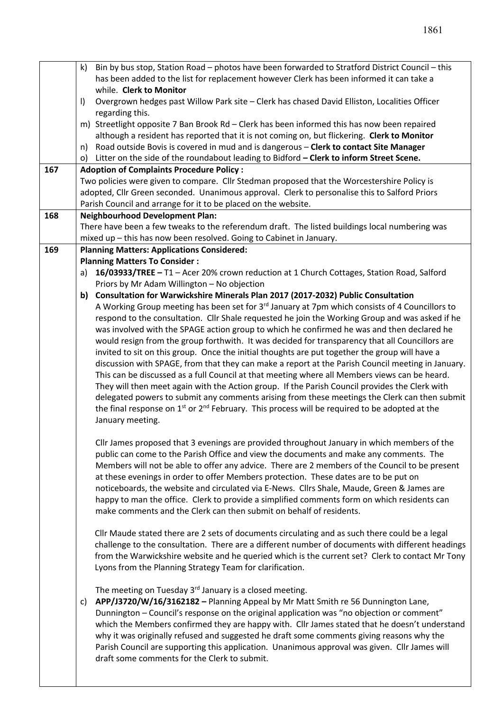|     | Bin by bus stop, Station Road - photos have been forwarded to Stratford District Council - this<br>k)                                                                                                                  |  |  |  |
|-----|------------------------------------------------------------------------------------------------------------------------------------------------------------------------------------------------------------------------|--|--|--|
|     | has been added to the list for replacement however Clerk has been informed it can take a                                                                                                                               |  |  |  |
|     | while. Clerk to Monitor                                                                                                                                                                                                |  |  |  |
|     | Overgrown hedges past Willow Park site - Clerk has chased David Elliston, Localities Officer<br>$\vert$                                                                                                                |  |  |  |
|     | regarding this.                                                                                                                                                                                                        |  |  |  |
|     | m) Streetlight opposite 7 Ban Brook Rd - Clerk has been informed this has now been repaired                                                                                                                            |  |  |  |
|     | although a resident has reported that it is not coming on, but flickering. Clerk to Monitor                                                                                                                            |  |  |  |
|     | n) Road outside Bovis is covered in mud and is dangerous - Clerk to contact Site Manager                                                                                                                               |  |  |  |
|     | o) Litter on the side of the roundabout leading to Bidford - Clerk to inform Street Scene.                                                                                                                             |  |  |  |
| 167 | <b>Adoption of Complaints Procedure Policy:</b>                                                                                                                                                                        |  |  |  |
|     | Two policies were given to compare. Cllr Stedman proposed that the Worcestershire Policy is                                                                                                                            |  |  |  |
|     | adopted, Cllr Green seconded. Unanimous approval. Clerk to personalise this to Salford Priors                                                                                                                          |  |  |  |
|     | Parish Council and arrange for it to be placed on the website.                                                                                                                                                         |  |  |  |
| 168 | <b>Neighbourhood Development Plan:</b>                                                                                                                                                                                 |  |  |  |
|     | There have been a few tweaks to the referendum draft. The listed buildings local numbering was                                                                                                                         |  |  |  |
|     | mixed up - this has now been resolved. Going to Cabinet in January.                                                                                                                                                    |  |  |  |
| 169 | <b>Planning Matters: Applications Considered:</b>                                                                                                                                                                      |  |  |  |
|     | <b>Planning Matters To Consider:</b>                                                                                                                                                                                   |  |  |  |
|     | 16/03933/TREE - T1 - Acer 20% crown reduction at 1 Church Cottages, Station Road, Salford<br>a)                                                                                                                        |  |  |  |
|     | Priors by Mr Adam Willington - No objection                                                                                                                                                                            |  |  |  |
|     | b) Consultation for Warwickshire Minerals Plan 2017 (2017-2032) Public Consultation                                                                                                                                    |  |  |  |
|     | A Working Group meeting has been set for 3rd January at 7pm which consists of 4 Councillors to                                                                                                                         |  |  |  |
|     | respond to the consultation. Cllr Shale requested he join the Working Group and was asked if he                                                                                                                        |  |  |  |
|     | was involved with the SPAGE action group to which he confirmed he was and then declared he                                                                                                                             |  |  |  |
|     | would resign from the group forthwith. It was decided for transparency that all Councillors are                                                                                                                        |  |  |  |
|     | invited to sit on this group. Once the initial thoughts are put together the group will have a                                                                                                                         |  |  |  |
|     | discussion with SPAGE, from that they can make a report at the Parish Council meeting in January.                                                                                                                      |  |  |  |
|     | This can be discussed as a full Council at that meeting where all Members views can be heard.                                                                                                                          |  |  |  |
|     | They will then meet again with the Action group. If the Parish Council provides the Clerk with                                                                                                                         |  |  |  |
|     | delegated powers to submit any comments arising from these meetings the Clerk can then submit<br>the final response on 1 <sup>st</sup> or 2 <sup>nd</sup> February. This process will be required to be adopted at the |  |  |  |
|     |                                                                                                                                                                                                                        |  |  |  |
|     | January meeting.                                                                                                                                                                                                       |  |  |  |
|     | Cllr James proposed that 3 evenings are provided throughout January in which members of the                                                                                                                            |  |  |  |
|     | public can come to the Parish Office and view the documents and make any comments. The                                                                                                                                 |  |  |  |
|     | Members will not be able to offer any advice. There are 2 members of the Council to be present                                                                                                                         |  |  |  |
|     | at these evenings in order to offer Members protection. These dates are to be put on                                                                                                                                   |  |  |  |
|     | noticeboards, the website and circulated via E-News. Cllrs Shale, Maude, Green & James are                                                                                                                             |  |  |  |
|     | happy to man the office. Clerk to provide a simplified comments form on which residents can                                                                                                                            |  |  |  |
|     | make comments and the Clerk can then submit on behalf of residents.                                                                                                                                                    |  |  |  |
|     |                                                                                                                                                                                                                        |  |  |  |
|     | Cllr Maude stated there are 2 sets of documents circulating and as such there could be a legal                                                                                                                         |  |  |  |
|     | challenge to the consultation. There are a different number of documents with different headings                                                                                                                       |  |  |  |
|     | from the Warwickshire website and he queried which is the current set? Clerk to contact Mr Tony                                                                                                                        |  |  |  |
|     | Lyons from the Planning Strategy Team for clarification.                                                                                                                                                               |  |  |  |
|     |                                                                                                                                                                                                                        |  |  |  |
|     | The meeting on Tuesday 3 <sup>rd</sup> January is a closed meeting.                                                                                                                                                    |  |  |  |
|     | APP/J3720/W/16/3162182 - Planning Appeal by Mr Matt Smith re 56 Dunnington Lane,<br>C)                                                                                                                                 |  |  |  |
|     | Dunnington - Council's response on the original application was "no objection or comment"                                                                                                                              |  |  |  |
|     | which the Members confirmed they are happy with. Cllr James stated that he doesn't understand                                                                                                                          |  |  |  |
|     | why it was originally refused and suggested he draft some comments giving reasons why the                                                                                                                              |  |  |  |
|     | Parish Council are supporting this application. Unanimous approval was given. Cllr James will                                                                                                                          |  |  |  |
|     | draft some comments for the Clerk to submit.                                                                                                                                                                           |  |  |  |
|     |                                                                                                                                                                                                                        |  |  |  |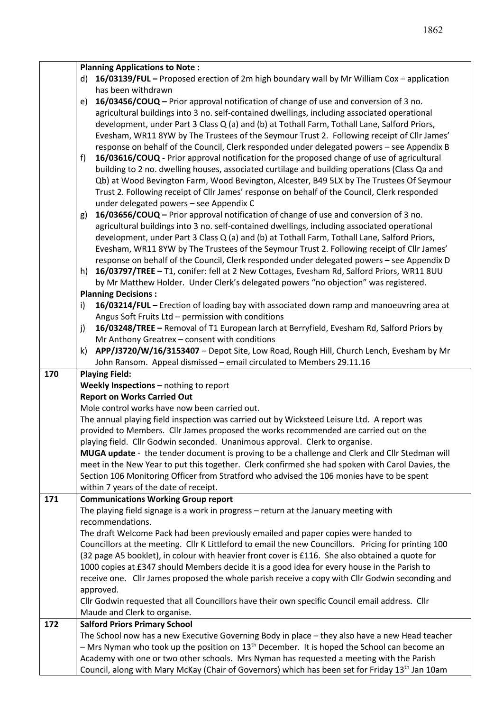|     | <b>Planning Applications to Note:</b>                                                            |                                                                                                                                                                                                             |  |  |
|-----|--------------------------------------------------------------------------------------------------|-------------------------------------------------------------------------------------------------------------------------------------------------------------------------------------------------------------|--|--|
|     | 16/03139/FUL - Proposed erection of 2m high boundary wall by Mr William Cox - application<br>d)  |                                                                                                                                                                                                             |  |  |
|     | has been withdrawn                                                                               |                                                                                                                                                                                                             |  |  |
|     | 16/03456/COUQ - Prior approval notification of change of use and conversion of 3 no.<br>e)       |                                                                                                                                                                                                             |  |  |
|     |                                                                                                  | agricultural buildings into 3 no. self-contained dwellings, including associated operational                                                                                                                |  |  |
|     |                                                                                                  | development, under Part 3 Class Q (a) and (b) at Tothall Farm, Tothall Lane, Salford Priors,                                                                                                                |  |  |
|     |                                                                                                  | Evesham, WR11 8YW by The Trustees of the Seymour Trust 2. Following receipt of Cllr James'                                                                                                                  |  |  |
|     | response on behalf of the Council, Clerk responded under delegated powers - see Appendix B       |                                                                                                                                                                                                             |  |  |
|     | 16/03616/COUQ - Prior approval notification for the proposed change of use of agricultural<br>f) |                                                                                                                                                                                                             |  |  |
|     | building to 2 no. dwelling houses, associated curtilage and building operations (Class Qa and    |                                                                                                                                                                                                             |  |  |
|     | Qb) at Wood Bevington Farm, Wood Bevington, Alcester, B49 5LX by The Trustees Of Seymour         |                                                                                                                                                                                                             |  |  |
|     | Trust 2. Following receipt of Cllr James' response on behalf of the Council, Clerk responded     |                                                                                                                                                                                                             |  |  |
|     | under delegated powers - see Appendix C                                                          |                                                                                                                                                                                                             |  |  |
|     | g)                                                                                               | 16/03656/COUQ – Prior approval notification of change of use and conversion of 3 no.                                                                                                                        |  |  |
|     |                                                                                                  | agricultural buildings into 3 no. self-contained dwellings, including associated operational                                                                                                                |  |  |
|     | development, under Part 3 Class Q (a) and (b) at Tothall Farm, Tothall Lane, Salford Priors,     |                                                                                                                                                                                                             |  |  |
|     |                                                                                                  | Evesham, WR11 8YW by The Trustees of the Seymour Trust 2. Following receipt of Cllr James'                                                                                                                  |  |  |
|     |                                                                                                  | response on behalf of the Council, Clerk responded under delegated powers - see Appendix D                                                                                                                  |  |  |
|     | h)                                                                                               | 16/03797/TREE - T1, conifer: fell at 2 New Cottages, Evesham Rd, Salford Priors, WR11 8UU                                                                                                                   |  |  |
|     |                                                                                                  | by Mr Matthew Holder. Under Clerk's delegated powers "no objection" was registered.                                                                                                                         |  |  |
|     | <b>Planning Decisions:</b>                                                                       |                                                                                                                                                                                                             |  |  |
|     | i)                                                                                               | 16/03214/FUL - Erection of loading bay with associated down ramp and manoeuvring area at                                                                                                                    |  |  |
|     | Angus Soft Fruits Ltd - permission with conditions                                               | 16/03248/TREE - Removal of T1 European larch at Berryfield, Evesham Rd, Salford Priors by                                                                                                                   |  |  |
|     | j)<br>Mr Anthony Greatrex - consent with conditions                                              |                                                                                                                                                                                                             |  |  |
|     | k)                                                                                               | APP/J3720/W/16/3153407 - Depot Site, Low Road, Rough Hill, Church Lench, Evesham by Mr                                                                                                                      |  |  |
|     |                                                                                                  |                                                                                                                                                                                                             |  |  |
|     | John Ransom. Appeal dismissed - email circulated to Members 29.11.16                             |                                                                                                                                                                                                             |  |  |
|     |                                                                                                  |                                                                                                                                                                                                             |  |  |
| 170 | <b>Playing Field:</b>                                                                            |                                                                                                                                                                                                             |  |  |
|     | Weekly Inspections - nothing to report<br><b>Report on Works Carried Out</b>                     |                                                                                                                                                                                                             |  |  |
|     | Mole control works have now been carried out.                                                    |                                                                                                                                                                                                             |  |  |
|     |                                                                                                  | The annual playing field inspection was carried out by Wicksteed Leisure Ltd. A report was                                                                                                                  |  |  |
|     |                                                                                                  | provided to Members. Cllr James proposed the works recommended are carried out on the                                                                                                                       |  |  |
|     |                                                                                                  | playing field. Cllr Godwin seconded. Unanimous approval. Clerk to organise.                                                                                                                                 |  |  |
|     |                                                                                                  | MUGA update - the tender document is proving to be a challenge and Clerk and ClIr Stedman will                                                                                                              |  |  |
|     |                                                                                                  | meet in the New Year to put this together. Clerk confirmed she had spoken with Carol Davies, the                                                                                                            |  |  |
|     |                                                                                                  | Section 106 Monitoring Officer from Stratford who advised the 106 monies have to be spent                                                                                                                   |  |  |
|     | within 7 years of the date of receipt.                                                           |                                                                                                                                                                                                             |  |  |
| 171 | <b>Communications Working Group report</b>                                                       |                                                                                                                                                                                                             |  |  |
|     |                                                                                                  | The playing field signage is a work in progress - return at the January meeting with                                                                                                                        |  |  |
|     | recommendations.                                                                                 |                                                                                                                                                                                                             |  |  |
|     |                                                                                                  | The draft Welcome Pack had been previously emailed and paper copies were handed to                                                                                                                          |  |  |
|     |                                                                                                  | Councillors at the meeting. Cllr K Littleford to email the new Councillors. Pricing for printing 100                                                                                                        |  |  |
|     |                                                                                                  | (32 page A5 booklet), in colour with heavier front cover is £116. She also obtained a quote for                                                                                                             |  |  |
|     |                                                                                                  | 1000 copies at £347 should Members decide it is a good idea for every house in the Parish to                                                                                                                |  |  |
|     |                                                                                                  | receive one. Cllr James proposed the whole parish receive a copy with Cllr Godwin seconding and                                                                                                             |  |  |
|     | approved.                                                                                        |                                                                                                                                                                                                             |  |  |
|     |                                                                                                  | Cllr Godwin requested that all Councillors have their own specific Council email address. Cllr                                                                                                              |  |  |
|     | Maude and Clerk to organise.                                                                     |                                                                                                                                                                                                             |  |  |
| 172 | <b>Salford Priors Primary School</b>                                                             |                                                                                                                                                                                                             |  |  |
|     |                                                                                                  | The School now has a new Executive Governing Body in place - they also have a new Head teacher<br>$-$ Mrs Nyman who took up the position on 13 <sup>th</sup> December. It is hoped the School can become an |  |  |
|     |                                                                                                  | Academy with one or two other schools. Mrs Nyman has requested a meeting with the Parish                                                                                                                    |  |  |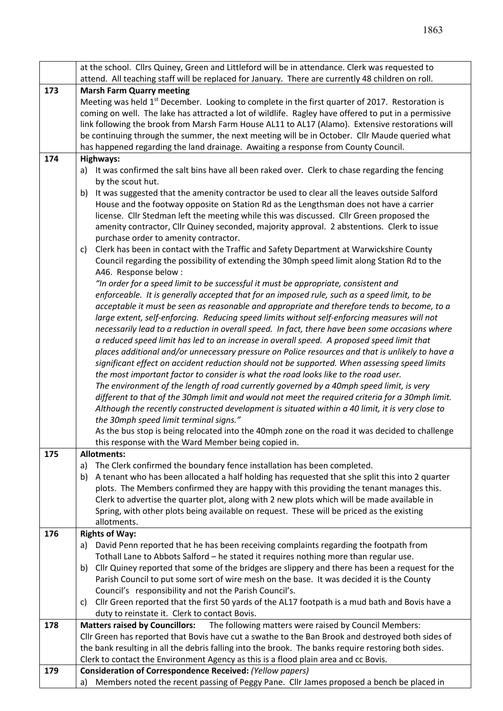|     | at the school. Cllrs Quiney, Green and Littleford will be in attendance. Clerk was requested to                                                                                              |  |  |  |  |
|-----|----------------------------------------------------------------------------------------------------------------------------------------------------------------------------------------------|--|--|--|--|
|     | attend. All teaching staff will be replaced for January. There are currently 48 children on roll.                                                                                            |  |  |  |  |
| 173 | <b>Marsh Farm Quarry meeting</b>                                                                                                                                                             |  |  |  |  |
|     | Meeting was held 1 <sup>st</sup> December. Looking to complete in the first quarter of 2017. Restoration is                                                                                  |  |  |  |  |
|     | coming on well. The lake has attracted a lot of wildlife. Ragley have offered to put in a permissive                                                                                         |  |  |  |  |
|     | link following the brook from Marsh Farm House AL11 to AL17 (Alamo). Extensive restorations will                                                                                             |  |  |  |  |
|     | be continuing through the summer, the next meeting will be in October. Cllr Maude queried what                                                                                               |  |  |  |  |
|     | has happened regarding the land drainage. Awaiting a response from County Council.                                                                                                           |  |  |  |  |
| 174 | Highways:                                                                                                                                                                                    |  |  |  |  |
|     | It was confirmed the salt bins have all been raked over. Clerk to chase regarding the fencing<br>a)                                                                                          |  |  |  |  |
|     | by the scout hut.                                                                                                                                                                            |  |  |  |  |
|     | It was suggested that the amenity contractor be used to clear all the leaves outside Salford<br>b)                                                                                           |  |  |  |  |
|     | House and the footway opposite on Station Rd as the Lengthsman does not have a carrier                                                                                                       |  |  |  |  |
|     | license. Cllr Stedman left the meeting while this was discussed. Cllr Green proposed the                                                                                                     |  |  |  |  |
|     | amenity contractor, Cllr Quiney seconded, majority approval. 2 abstentions. Clerk to issue                                                                                                   |  |  |  |  |
|     | purchase order to amenity contractor.                                                                                                                                                        |  |  |  |  |
|     | Clerk has been in contact with the Traffic and Safety Department at Warwickshire County<br>C)                                                                                                |  |  |  |  |
|     | Council regarding the possibility of extending the 30mph speed limit along Station Rd to the                                                                                                 |  |  |  |  |
|     | A46. Response below :                                                                                                                                                                        |  |  |  |  |
|     | "In order for a speed limit to be successful it must be appropriate, consistent and                                                                                                          |  |  |  |  |
|     | enforceable. It is generally accepted that for an imposed rule, such as a speed limit, to be                                                                                                 |  |  |  |  |
|     | acceptable it must be seen as reasonable and appropriate and therefore tends to become, to a<br>large extent, self-enforcing. Reducing speed limits without self-enforcing measures will not |  |  |  |  |
|     | necessarily lead to a reduction in overall speed. In fact, there have been some occasions where                                                                                              |  |  |  |  |
|     | a reduced speed limit has led to an increase in overall speed. A proposed speed limit that                                                                                                   |  |  |  |  |
|     | places additional and/or unnecessary pressure on Police resources and that is unlikely to have a                                                                                             |  |  |  |  |
|     | significant effect on accident reduction should not be supported. When assessing speed limits                                                                                                |  |  |  |  |
|     |                                                                                                                                                                                              |  |  |  |  |
|     | the most important factor to consider is what the road looks like to the road user.<br>The environment of the length of road currently governed by a 40mph speed limit, is very              |  |  |  |  |
|     | different to that of the 30mph limit and would not meet the required criteria for a 30mph limit.                                                                                             |  |  |  |  |
|     | Although the recently constructed development is situated within a 40 limit, it is very close to                                                                                             |  |  |  |  |
|     | the 30mph speed limit terminal signs."                                                                                                                                                       |  |  |  |  |
|     | As the bus stop is being relocated into the 40mph zone on the road it was decided to challenge                                                                                               |  |  |  |  |
|     | this response with the Ward Member being copied in.                                                                                                                                          |  |  |  |  |
| 175 | <b>Allotments:</b>                                                                                                                                                                           |  |  |  |  |
|     | The Clerk confirmed the boundary fence installation has been completed.<br>a)                                                                                                                |  |  |  |  |
|     | A tenant who has been allocated a half holding has requested that she split this into 2 quarter<br>b)                                                                                        |  |  |  |  |
|     | plots. The Members confirmed they are happy with this providing the tenant manages this.                                                                                                     |  |  |  |  |
|     | Clerk to advertise the quarter plot, along with 2 new plots which will be made available in                                                                                                  |  |  |  |  |
|     | Spring, with other plots being available on request. These will be priced as the existing                                                                                                    |  |  |  |  |
|     | allotments.                                                                                                                                                                                  |  |  |  |  |
| 176 | <b>Rights of Way:</b>                                                                                                                                                                        |  |  |  |  |
|     | David Penn reported that he has been receiving complaints regarding the footpath from<br>a)                                                                                                  |  |  |  |  |
|     | Tothall Lane to Abbots Salford - he stated it requires nothing more than regular use.                                                                                                        |  |  |  |  |
|     | Cllr Quiney reported that some of the bridges are slippery and there has been a request for the<br>b)                                                                                        |  |  |  |  |
|     | Parish Council to put some sort of wire mesh on the base. It was decided it is the County                                                                                                    |  |  |  |  |
|     | Council's responsibility and not the Parish Council's.                                                                                                                                       |  |  |  |  |
|     | Cllr Green reported that the first 50 yards of the AL17 footpath is a mud bath and Bovis have a<br>C)                                                                                        |  |  |  |  |
|     | duty to reinstate it. Clerk to contact Bovis.                                                                                                                                                |  |  |  |  |
| 178 | The following matters were raised by Council Members:<br><b>Matters raised by Councillors:</b>                                                                                               |  |  |  |  |
|     | Cllr Green has reported that Bovis have cut a swathe to the Ban Brook and destroyed both sides of                                                                                            |  |  |  |  |
|     | the bank resulting in all the debris falling into the brook. The banks require restoring both sides.                                                                                         |  |  |  |  |
|     | Clerk to contact the Environment Agency as this is a flood plain area and cc Bovis.                                                                                                          |  |  |  |  |
| 179 | Consideration of Correspondence Received: (Yellow papers)                                                                                                                                    |  |  |  |  |
|     | Members noted the recent passing of Peggy Pane. Cllr James proposed a bench be placed in<br>a)                                                                                               |  |  |  |  |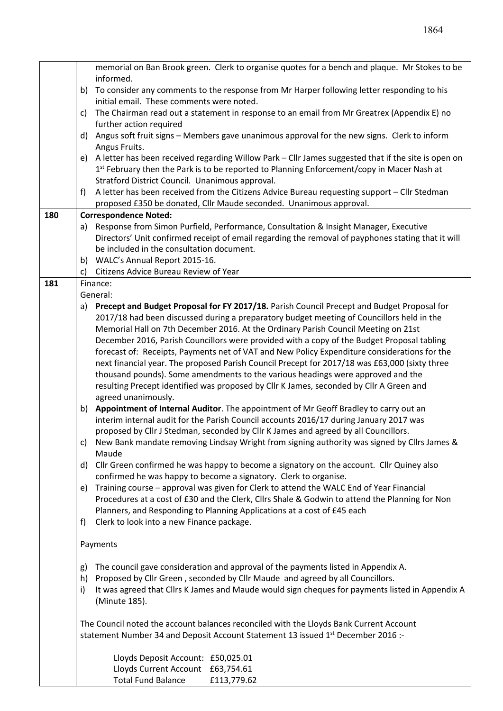|     | memorial on Ban Brook green. Clerk to organise quotes for a bench and plaque. Mr Stokes to be                               |  |  |  |  |
|-----|-----------------------------------------------------------------------------------------------------------------------------|--|--|--|--|
|     | informed.                                                                                                                   |  |  |  |  |
|     | To consider any comments to the response from Mr Harper following letter responding to his<br>b)                            |  |  |  |  |
|     | initial email. These comments were noted.                                                                                   |  |  |  |  |
|     | The Chairman read out a statement in response to an email from Mr Greatrex (Appendix E) no<br>C)<br>further action required |  |  |  |  |
|     |                                                                                                                             |  |  |  |  |
|     | Angus soft fruit signs - Members gave unanimous approval for the new signs. Clerk to inform<br>d)<br>Angus Fruits.          |  |  |  |  |
|     | e) A letter has been received regarding Willow Park - Cllr James suggested that if the site is open on                      |  |  |  |  |
|     | 1 <sup>st</sup> February then the Park is to be reported to Planning Enforcement/copy in Macer Nash at                      |  |  |  |  |
|     | Stratford District Council. Unanimous approval.                                                                             |  |  |  |  |
|     | A letter has been received from the Citizens Advice Bureau requesting support - Cllr Stedman<br>f)                          |  |  |  |  |
|     | proposed £350 be donated, Cllr Maude seconded. Unanimous approval.                                                          |  |  |  |  |
| 180 | <b>Correspondence Noted:</b>                                                                                                |  |  |  |  |
|     | Response from Simon Purfield, Performance, Consultation & Insight Manager, Executive<br>a)                                  |  |  |  |  |
|     | Directors' Unit confirmed receipt of email regarding the removal of payphones stating that it will                          |  |  |  |  |
|     | be included in the consultation document.                                                                                   |  |  |  |  |
|     | b) WALC's Annual Report 2015-16.                                                                                            |  |  |  |  |
|     | Citizens Advice Bureau Review of Year<br>c)                                                                                 |  |  |  |  |
| 181 | Finance:                                                                                                                    |  |  |  |  |
|     | General:                                                                                                                    |  |  |  |  |
|     | Precept and Budget Proposal for FY 2017/18. Parish Council Precept and Budget Proposal for<br>a)                            |  |  |  |  |
|     | 2017/18 had been discussed during a preparatory budget meeting of Councillors held in the                                   |  |  |  |  |
|     | Memorial Hall on 7th December 2016. At the Ordinary Parish Council Meeting on 21st                                          |  |  |  |  |
|     | December 2016, Parish Councillors were provided with a copy of the Budget Proposal tabling                                  |  |  |  |  |
|     | forecast of: Receipts, Payments net of VAT and New Policy Expenditure considerations for the                                |  |  |  |  |
|     | next financial year. The proposed Parish Council Precept for 2017/18 was £63,000 (sixty three                               |  |  |  |  |
|     | thousand pounds). Some amendments to the various headings were approved and the                                             |  |  |  |  |
|     | resulting Precept identified was proposed by Cllr K James, seconded by Cllr A Green and                                     |  |  |  |  |
|     | agreed unanimously.                                                                                                         |  |  |  |  |
|     | Appointment of Internal Auditor. The appointment of Mr Geoff Bradley to carry out an<br>b)                                  |  |  |  |  |
|     | interim internal audit for the Parish Council accounts 2016/17 during January 2017 was                                      |  |  |  |  |
|     | proposed by Cllr J Stedman, seconded by Cllr K James and agreed by all Councillors.                                         |  |  |  |  |
|     | c) New Bank mandate removing Lindsay Wright from signing authority was signed by Cllrs James &<br>Maude                     |  |  |  |  |
|     | d) Cllr Green confirmed he was happy to become a signatory on the account. Cllr Quiney also                                 |  |  |  |  |
|     | confirmed he was happy to become a signatory. Clerk to organise.                                                            |  |  |  |  |
|     | Training course - approval was given for Clerk to attend the WALC End of Year Financial<br>e)                               |  |  |  |  |
|     | Procedures at a cost of £30 and the Clerk, Cllrs Shale & Godwin to attend the Planning for Non                              |  |  |  |  |
|     | Planners, and Responding to Planning Applications at a cost of £45 each                                                     |  |  |  |  |
|     | Clerk to look into a new Finance package.<br>f)                                                                             |  |  |  |  |
|     |                                                                                                                             |  |  |  |  |
|     | Payments                                                                                                                    |  |  |  |  |
|     | The council gave consideration and approval of the payments listed in Appendix A.<br>g)                                     |  |  |  |  |
|     | Proposed by Cllr Green, seconded by Cllr Maude and agreed by all Councillors.<br>h)                                         |  |  |  |  |
|     | It was agreed that Cllrs K James and Maude would sign cheques for payments listed in Appendix A<br>i)                       |  |  |  |  |
|     | (Minute 185).                                                                                                               |  |  |  |  |
|     | The Council noted the account balances reconciled with the Lloyds Bank Current Account                                      |  |  |  |  |
|     | statement Number 34 and Deposit Account Statement 13 issued 1 <sup>st</sup> December 2016 :-                                |  |  |  |  |
|     |                                                                                                                             |  |  |  |  |
|     | Lloyds Deposit Account: £50,025.01                                                                                          |  |  |  |  |
|     | Lloyds Current Account £63,754.61                                                                                           |  |  |  |  |
|     | <b>Total Fund Balance</b><br>£113,779.62                                                                                    |  |  |  |  |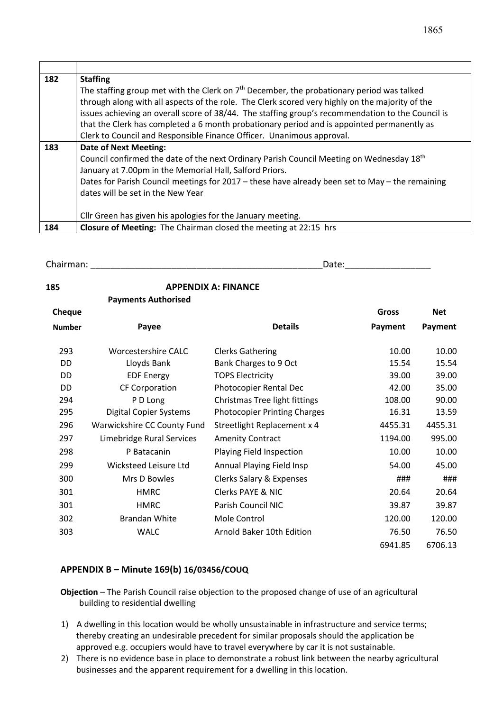| 182 | <b>Staffing</b>                                                                                       |  |  |  |  |  |
|-----|-------------------------------------------------------------------------------------------------------|--|--|--|--|--|
|     | The staffing group met with the Clerk on 7 <sup>th</sup> December, the probationary period was talked |  |  |  |  |  |
|     | through along with all aspects of the role. The Clerk scored very highly on the majority of the       |  |  |  |  |  |
|     | issues achieving an overall score of 38/44. The staffing group's recommendation to the Council is     |  |  |  |  |  |
|     | that the Clerk has completed a 6 month probationary period and is appointed permanently as            |  |  |  |  |  |
|     | Clerk to Council and Responsible Finance Officer. Unanimous approval.                                 |  |  |  |  |  |
| 183 | <b>Date of Next Meeting:</b>                                                                          |  |  |  |  |  |
|     | Council confirmed the date of the next Ordinary Parish Council Meeting on Wednesday 18 <sup>th</sup>  |  |  |  |  |  |
|     | January at 7.00pm in the Memorial Hall, Salford Priors.                                               |  |  |  |  |  |
|     | Dates for Parish Council meetings for 2017 - these have already been set to May - the remaining       |  |  |  |  |  |
|     | dates will be set in the New Year                                                                     |  |  |  |  |  |
|     |                                                                                                       |  |  |  |  |  |
|     | Cllr Green has given his apologies for the January meeting.                                           |  |  |  |  |  |
| 184 | <b>Closure of Meeting:</b> The Chairman closed the meeting at 22:15 hrs                               |  |  |  |  |  |

Chairman: \_\_\_\_\_\_\_\_\_\_\_\_\_\_\_\_\_\_\_\_\_\_\_\_\_\_\_\_\_\_\_\_\_\_\_\_\_\_\_\_\_\_\_\_\_\_Date:\_\_\_\_\_\_\_\_\_\_\_\_\_\_\_\_\_

| 185           | <b>Payments Authorised</b>    | <b>APPENDIX A: FINANCE</b>          |         |            |
|---------------|-------------------------------|-------------------------------------|---------|------------|
| Cheque        |                               |                                     | Gross   | <b>Net</b> |
| <b>Number</b> | Payee                         | <b>Details</b>                      | Payment | Payment    |
| 293           | Worcestershire CALC           | <b>Clerks Gathering</b>             | 10.00   | 10.00      |
| <b>DD</b>     | Lloyds Bank                   | Bank Charges to 9 Oct               | 15.54   | 15.54      |
| <b>DD</b>     | <b>EDF Energy</b>             | <b>TOPS Electricity</b>             | 39.00   | 39.00      |
| DD.           | <b>CF Corporation</b>         | Photocopier Rental Dec              | 42.00   | 35.00      |
| 294           | P D Long                      | Christmas Tree light fittings       | 108.00  | 90.00      |
| 295           | <b>Digital Copier Systems</b> | <b>Photocopier Printing Charges</b> | 16.31   | 13.59      |
| 296           | Warwickshire CC County Fund   | Streetlight Replacement x 4         | 4455.31 | 4455.31    |
| 297           | Limebridge Rural Services     | <b>Amenity Contract</b>             | 1194.00 | 995.00     |
| 298           | P Batacanin                   | Playing Field Inspection            | 10.00   | 10.00      |
| 299           | Wicksteed Leisure Ltd         | Annual Playing Field Insp           | 54.00   | 45.00      |
| 300           | Mrs D Bowles                  | Clerks Salary & Expenses            | ###     | ###        |
| 301           | <b>HMRC</b>                   | <b>Clerks PAYE &amp; NIC</b>        | 20.64   | 20.64      |
| 301           | <b>HMRC</b>                   | Parish Council NIC                  | 39.87   | 39.87      |
| 302           | <b>Brandan White</b>          | Mole Control                        | 120.00  | 120.00     |
| 303           | <b>WALC</b>                   | Arnold Baker 10th Edition           | 76.50   | 76.50      |
|               |                               |                                     | 6941.85 | 6706.13    |

# **APPENDIX B – Minute 169(b) 16/03456/COUQ**

- **Objection** The Parish Council raise objection to the proposed change of use of an agricultural building to residential dwelling
- 1) A dwelling in this location would be wholly unsustainable in infrastructure and service terms; thereby creating an undesirable precedent for similar proposals should the application be approved e.g. occupiers would have to travel everywhere by car it is not sustainable.
- 2) There is no evidence base in place to demonstrate a robust link between the nearby agricultural businesses and the apparent requirement for a dwelling in this location.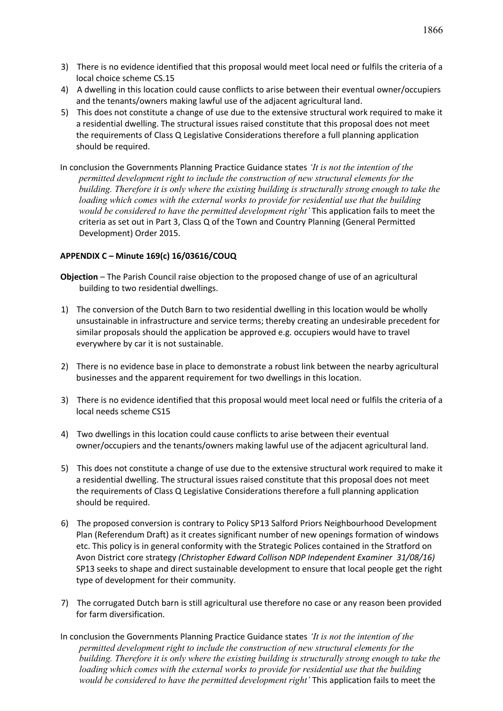- 3) There is no evidence identified that this proposal would meet local need or fulfils the criteria of a local choice scheme CS.15
- 4) A dwelling in this location could cause conflicts to arise between their eventual owner/occupiers and the tenants/owners making lawful use of the adjacent agricultural land.
- 5) This does not constitute a change of use due to the extensive structural work required to make it a residential dwelling. The structural issues raised constitute that this proposal does not meet the requirements of Class Q Legislative Considerations therefore a full planning application should be required.

In conclusion the Governments Planning Practice Guidance states *'It is not the intention of the permitted development right to include the construction of new structural elements for the building. Therefore it is only where the existing building is structurally strong enough to take the loading which comes with the external works to provide for residential use that the building would be considered to have the permitted development right'* This application fails to meet the criteria as set out in Part 3, Class Q of the Town and Country Planning (General Permitted Development) Order 2015.

#### **APPENDIX C – Minute 169(c) 16/03616/COUQ**

- **Objection** The Parish Council raise objection to the proposed change of use of an agricultural building to two residential dwellings.
- 1) The conversion of the Dutch Barn to two residential dwelling in this location would be wholly unsustainable in infrastructure and service terms; thereby creating an undesirable precedent for similar proposals should the application be approved e.g. occupiers would have to travel everywhere by car it is not sustainable.
- 2) There is no evidence base in place to demonstrate a robust link between the nearby agricultural businesses and the apparent requirement for two dwellings in this location.
- 3) There is no evidence identified that this proposal would meet local need or fulfils the criteria of a local needs scheme CS15
- 4) Two dwellings in this location could cause conflicts to arise between their eventual owner/occupiers and the tenants/owners making lawful use of the adjacent agricultural land.
- 5) This does not constitute a change of use due to the extensive structural work required to make it a residential dwelling. The structural issues raised constitute that this proposal does not meet the requirements of Class Q Legislative Considerations therefore a full planning application should be required.
- 6) The proposed conversion is contrary to Policy SP13 Salford Priors Neighbourhood Development Plan (Referendum Draft) as it creates significant number of new openings formation of windows etc. This policy is in general conformity with the Strategic Polices contained in the Stratford on Avon District core strategy *(Christopher Edward Collison NDP Independent Examiner 31/08/16)* SP13 seeks to shape and direct sustainable development to ensure that local people get the right type of development for their community.
- 7) The corrugated Dutch barn is still agricultural use therefore no case or any reason been provided for farm diversification.
- In conclusion the Governments Planning Practice Guidance states *'It is not the intention of the permitted development right to include the construction of new structural elements for the building. Therefore it is only where the existing building is structurally strong enough to take the loading which comes with the external works to provide for residential use that the building would be considered to have the permitted development right'* This application fails to meet the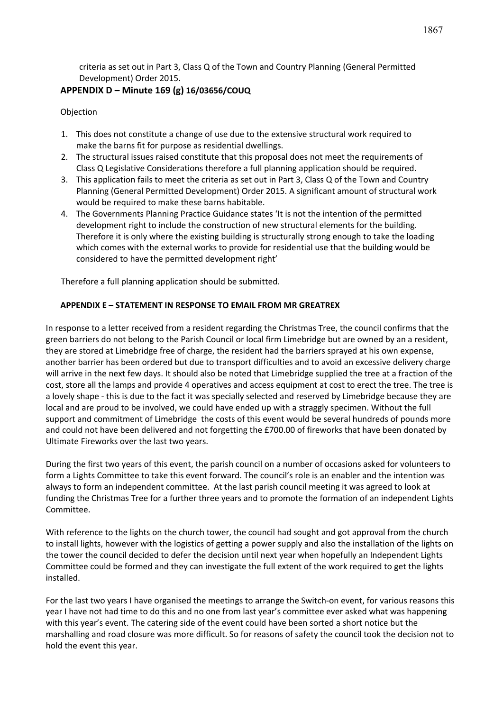criteria as set out in Part 3, Class Q of the Town and Country Planning (General Permitted Development) Order 2015.

### **APPENDIX D – Minute 169 (g) 16/03656/COUQ**

**Objection** 

- 1. This does not constitute a change of use due to the extensive structural work required to make the barns fit for purpose as residential dwellings.
- 2. The structural issues raised constitute that this proposal does not meet the requirements of Class Q Legislative Considerations therefore a full planning application should be required.
- 3. This application fails to meet the criteria as set out in Part 3, Class Q of the Town and Country Planning (General Permitted Development) Order 2015. A significant amount of structural work would be required to make these barns habitable.
- 4. The Governments Planning Practice Guidance states 'It is not the intention of the permitted development right to include the construction of new structural elements for the building. Therefore it is only where the existing building is structurally strong enough to take the loading which comes with the external works to provide for residential use that the building would be considered to have the permitted development right'

Therefore a full planning application should be submitted.

#### **APPENDIX E – STATEMENT IN RESPONSE TO EMAIL FROM MR GREATREX**

In response to a letter received from a resident regarding the Christmas Tree, the council confirms that the green barriers do not belong to the Parish Council or local firm Limebridge but are owned by an a resident, they are stored at Limebridge free of charge, the resident had the barriers sprayed at his own expense, another barrier has been ordered but due to transport difficulties and to avoid an excessive delivery charge will arrive in the next few days. It should also be noted that Limebridge supplied the tree at a fraction of the cost, store all the lamps and provide 4 operatives and access equipment at cost to erect the tree. The tree is a lovely shape - this is due to the fact it was specially selected and reserved by Limebridge because they are local and are proud to be involved, we could have ended up with a straggly specimen. Without the full support and commitment of Limebridge the costs of this event would be several hundreds of pounds more and could not have been delivered and not forgetting the £700.00 of fireworks that have been donated by Ultimate Fireworks over the last two years.

During the first two years of this event, the parish council on a number of occasions asked for volunteers to form a Lights Committee to take this event forward. The council's role is an enabler and the intention was always to form an independent committee. At the last parish council meeting it was agreed to look at funding the Christmas Tree for a further three years and to promote the formation of an independent Lights Committee.

With reference to the lights on the church tower, the council had sought and got approval from the church to install lights, however with the logistics of getting a power supply and also the installation of the lights on the tower the council decided to defer the decision until next year when hopefully an Independent Lights Committee could be formed and they can investigate the full extent of the work required to get the lights installed.

For the last two years I have organised the meetings to arrange the Switch-on event, for various reasons this year I have not had time to do this and no one from last year's committee ever asked what was happening with this year's event. The catering side of the event could have been sorted a short notice but the marshalling and road closure was more difficult. So for reasons of safety the council took the decision not to hold the event this year.